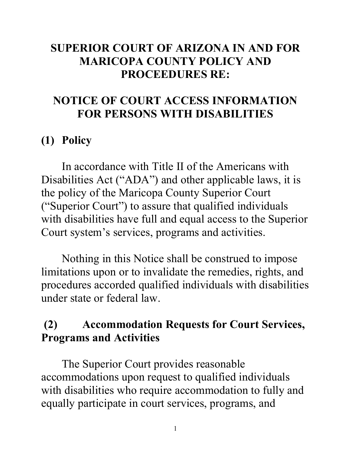### **SUPERIOR COURT OF ARIZONA IN AND FOR MARICOPA COUNTY POLICY AND PROCEEDURES RE:**

## **NOTICE OF COURT ACCESS INFORMATION FOR PERSONS WITH DISABILITIES**

## **(1) Policy**

In accordance with Title II of the Americans with Disabilities Act ("ADA") and other applicable laws, it is the policy of the Maricopa County Superior Court ("Superior Court") to assure that qualified individuals with disabilities have full and equal access to the Superior Court system's services, programs and activities.

Nothing in this Notice shall be construed to impose limitations upon or to invalidate the remedies, rights, and procedures accorded qualified individuals with disabilities under state or federal law.

## **(2) Accommodation Requests for Court Services, Programs and Activities**

The Superior Court provides reasonable accommodations upon request to qualified individuals with disabilities who require accommodation to fully and equally participate in court services, programs, and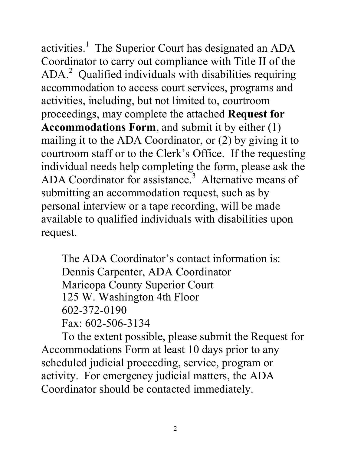activities.<sup>1</sup> The Superior Court has designated an ADA Coordinator to carry out compliance with Title II of the ADA.<sup>[2](#page-14-1)</sup> Qualified individuals with disabilities requiring accommodation to access court services, programs and activities, including, but not limited to, courtroom proceedings, may complete the attached **Request for Accommodations Form**, and submit it by either (1) mailing it to the ADA Coordinator, or (2) by giving it to courtroom staff or to the Clerk's Office. If the requesting individual needs help completing the form, please ask the ADA Coordinator for assistance.<sup>3</sup> Alternative means of submitting an accommodation request, such as by personal interview or a tape recording, will be made available to qualified individuals with disabilities upon request.

The ADA Coordinator's contact information is: Dennis Carpenter, ADA Coordinator Maricopa County Superior Court 125 W. Washington 4th Floor 602-372-0190 Fax: 602-506-3134

To the extent possible, please submit the Request for Accommodations Form at least 10 days prior to any scheduled judicial proceeding, service, program or activity. For emergency judicial matters, the ADA Coordinator should be contacted immediately.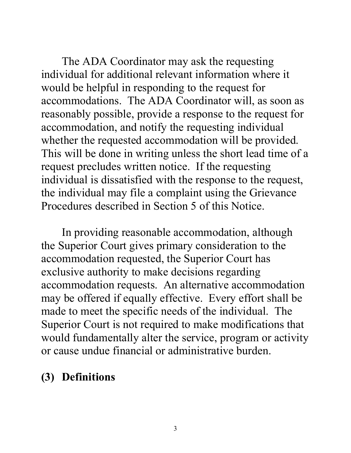The ADA Coordinator may ask the requesting individual for additional relevant information where it would be helpful in responding to the request for accommodations. The ADA Coordinator will, as soon as reasonably possible, provide a response to the request for accommodation, and notify the requesting individual whether the requested accommodation will be provided. This will be done in writing unless the short lead time of a request precludes written notice. If the requesting individual is dissatisfied with the response to the request, the individual may file a complaint using the Grievance Procedures described in Section 5 of this Notice.

In providing reasonable accommodation, although the Superior Court gives primary consideration to the accommodation requested, the Superior Court has exclusive authority to make decisions regarding accommodation requests. An alternative accommodation may be offered if equally effective. Every effort shall be made to meet the specific needs of the individual. The Superior Court is not required to make modifications that would fundamentally alter the service, program or activity or cause undue financial or administrative burden.

## **(3) Definitions**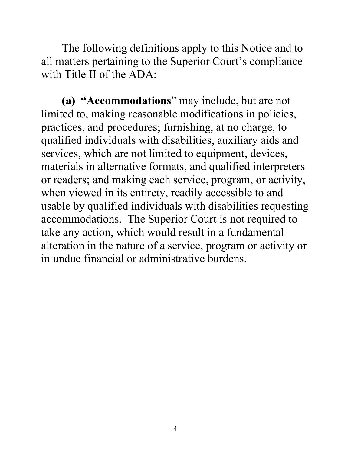The following definitions apply to this Notice and to all matters pertaining to the Superior Court's compliance with Title II of the ADA:

**(a) "Accommodations**" may include, but are not limited to, making reasonable modifications in policies, practices, and procedures; furnishing, at no charge, to qualified individuals with disabilities, auxiliary aids and services, which are not limited to equipment, devices, materials in alternative formats, and qualified interpreters or readers; and making each service, program, or activity, when viewed in its entirety, readily accessible to and usable by qualified individuals with disabilities requesting accommodations. The Superior Court is not required to take any action, which would result in a fundamental alteration in the nature of a service, program or activity or in undue financial or administrative burdens.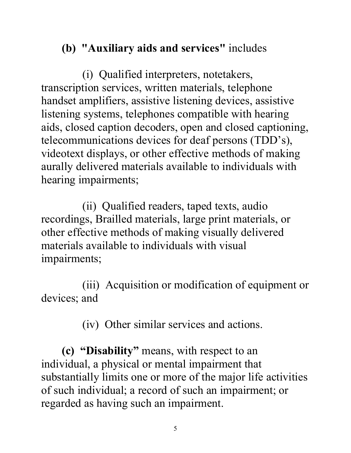# **(b) "Auxiliary aids and services"** includes

(i) Qualified interpreters, notetakers, transcription services, written materials, telephone handset amplifiers, assistive listening devices, assistive listening systems, telephones compatible with hearing aids, closed caption decoders, open and closed captioning, telecommunications devices for deaf persons (TDD's), videotext displays, or other effective methods of making aurally delivered materials available to individuals with hearing impairments;

(ii) Qualified readers, taped texts, audio recordings, Brailled materials, large print materials, or other effective methods of making visually delivered materials available to individuals with visual impairments;

(iii) Acquisition or modification of equipment or devices; and

(iv) Other similar services and actions.

**(c) "Disability"** means, with respect to an individual, a physical or mental impairment that substantially limits one or more of the major life activities of such individual; a record of such an impairment; or regarded as having such an impairment.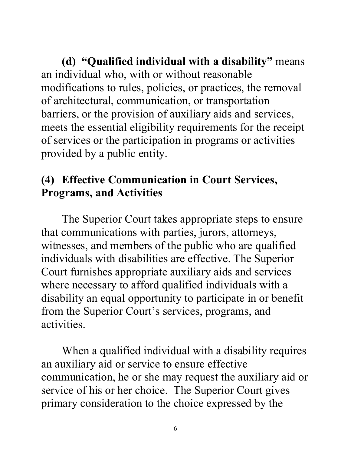**(d) "Qualified individual with a disability"** means an individual who, with or without reasonable modifications to rules, policies, or practices, the removal of architectural, communication, or transportation barriers, or the provision of auxiliary aids and services, meets the essential eligibility requirements for the receipt of services or the participation in programs or activities provided by a public entity.

## **(4) Effective Communication in Court Services, Programs, and Activities**

The Superior Court takes appropriate steps to ensure that communications with parties, jurors, attorneys, witnesses, and members of the public who are qualified individuals with disabilities are effective. The Superior Court furnishes appropriate auxiliary aids and services where necessary to afford qualified individuals with a disability an equal opportunity to participate in or benefit from the Superior Court's services, programs, and activities.

When a qualified individual with a disability requires an auxiliary aid or service to ensure effective communication, he or she may request the auxiliary aid or service of his or her choice. The Superior Court gives primary consideration to the choice expressed by the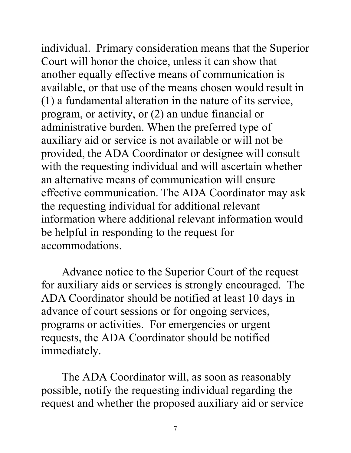individual. Primary consideration means that the Superior Court will honor the choice, unless it can show that another equally effective means of communication is available, or that use of the means chosen would result in (1) a fundamental alteration in the nature of its service, program, or activity, or (2) an undue financial or administrative burden. When the preferred type of auxiliary aid or service is not available or will not be provided, the ADA Coordinator or designee will consult with the requesting individual and will ascertain whether an alternative means of communication will ensure effective communication. The ADA Coordinator may ask the requesting individual for additional relevant information where additional relevant information would be helpful in responding to the request for accommodations.

Advance notice to the Superior Court of the request for auxiliary aids or services is strongly encouraged. The ADA Coordinator should be notified at least 10 days in advance of court sessions or for ongoing services, programs or activities. For emergencies or urgent requests, the ADA Coordinator should be notified immediately.

The ADA Coordinator will, as soon as reasonably possible, notify the requesting individual regarding the request and whether the proposed auxiliary aid or service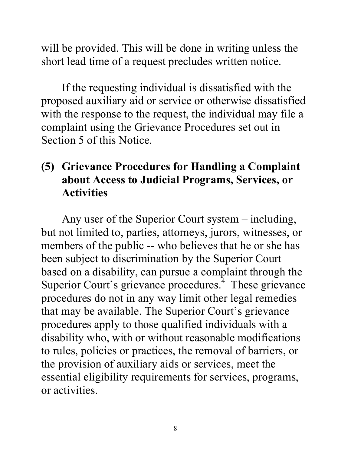will be provided. This will be done in writing unless the short lead time of a request precludes written notice.

If the requesting individual is dissatisfied with the proposed auxiliary aid or service or otherwise dissatisfied with the response to the request, the individual may file a complaint using the Grievance Procedures set out in Section 5 of this Notice.

## **(5) Grievance Procedures for Handling a Complaint about Access to Judicial Programs, Services, or Activities**

Any user of the Superior Court system – including, but not limited to, parties, attorneys, jurors, witnesses, or members of the public -- who believes that he or she has been subject to discrimination by the Superior Court based on a disability, can pursue a complaint through the Superior Court's grievance procedures. $4$  These grievance procedures do not in any way limit other legal remedies that may be available. The Superior Court's grievance procedures apply to those qualified individuals with a disability who, with or without reasonable modifications to rules, policies or practices, the removal of barriers, or the provision of auxiliary aids or services, meet the essential eligibility requirements for services, programs, or activities.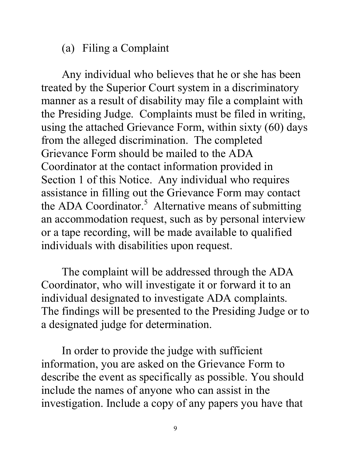### (a) Filing a Complaint

Any individual who believes that he or she has been treated by the Superior Court system in a discriminatory manner as a result of disability may file a complaint with the Presiding Judge. Complaints must be filed in writing, using the attached Grievance Form, within sixty (60) days from the alleged discrimination. The completed Grievance Form should be mailed to the ADA Coordinator at the contact information provided in Section 1 of this Notice. Any individual who requires assistance in filling out the Grievance Form may contact the ADA Coordinator.<sup>[5](#page-14-4)</sup> Alternative means of submitting an accommodation request, such as by personal interview or a tape recording, will be made available to qualified individuals with disabilities upon request.

The complaint will be addressed through the ADA Coordinator, who will investigate it or forward it to an individual designated to investigate ADA complaints. The findings will be presented to the Presiding Judge or to a designated judge for determination.

In order to provide the judge with sufficient information, you are asked on the Grievance Form to describe the event as specifically as possible. You should include the names of anyone who can assist in the investigation. Include a copy of any papers you have that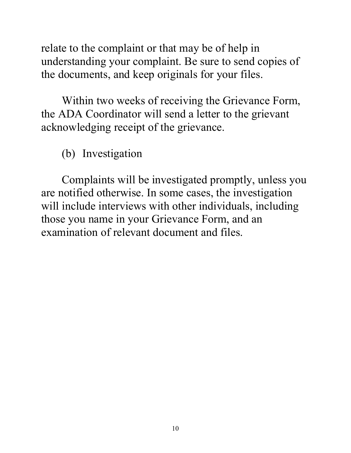relate to the complaint or that may be of help in understanding your complaint. Be sure to send copies of the documents, and keep originals for your files.

Within two weeks of receiving the Grievance Form, the ADA Coordinator will send a letter to the grievant acknowledging receipt of the grievance.

(b) Investigation

Complaints will be investigated promptly, unless you are notified otherwise. In some cases, the investigation will include interviews with other individuals, including those you name in your Grievance Form, and an examination of relevant document and files.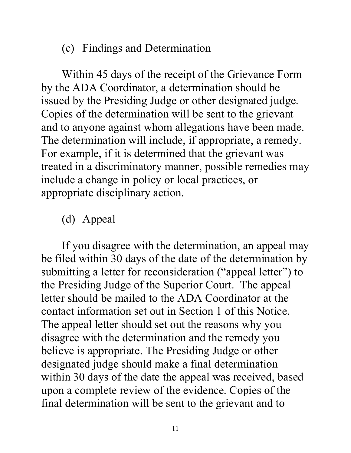### (c) Findings and Determination

Within 45 days of the receipt of the Grievance Form by the ADA Coordinator, a determination should be issued by the Presiding Judge or other designated judge. Copies of the determination will be sent to the grievant and to anyone against whom allegations have been made. The determination will include, if appropriate, a remedy. For example, if it is determined that the grievant was treated in a discriminatory manner, possible remedies may include a change in policy or local practices, or appropriate disciplinary action.

## (d) Appeal

If you disagree with the determination, an appeal may be filed within 30 days of the date of the determination by submitting a letter for reconsideration ("appeal letter") to the Presiding Judge of the Superior Court. The appeal letter should be mailed to the ADA Coordinator at the contact information set out in Section 1 of this Notice. The appeal letter should set out the reasons why you disagree with the determination and the remedy you believe is appropriate. The Presiding Judge or other designated judge should make a final determination within 30 days of the date the appeal was received, based upon a complete review of the evidence. Copies of the final determination will be sent to the grievant and to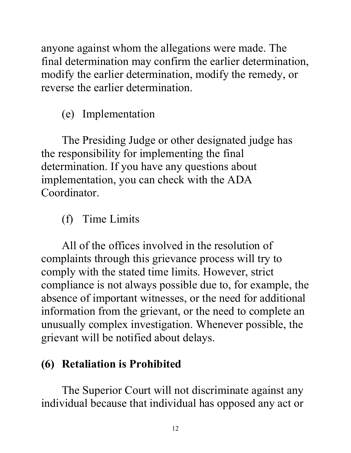anyone against whom the allegations were made. The final determination may confirm the earlier determination, modify the earlier determination, modify the remedy, or reverse the earlier determination.

(e) Implementation

The Presiding Judge or other designated judge has the responsibility for implementing the final determination. If you have any questions about implementation, you can check with the ADA Coordinator.

# (f) Time Limits

All of the offices involved in the resolution of complaints through this grievance process will try to comply with the stated time limits. However, strict compliance is not always possible due to, for example, the absence of important witnesses, or the need for additional information from the grievant, or the need to complete an unusually complex investigation. Whenever possible, the grievant will be notified about delays.

# **(6) Retaliation is Prohibited**

The Superior Court will not discriminate against any individual because that individual has opposed any act or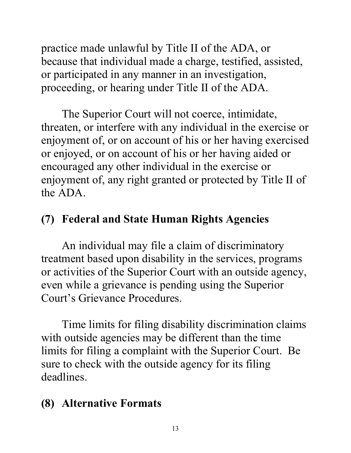practice made unlawful by Title II of the ADA, or because that individual made a charge, testified, assisted, or participated in any manner in an investigation, proceeding, or hearing under Title II of the ADA.

The Superior Court will not coerce, intimidate, threaten, or interfere with any individual in the exercise or enjoyment of, or on account of his or her having exercised or enjoyed, or on account of his or her having aided or encouraged any other individual in the exercise or enjoyment of, any right granted or protected by Title II of the ADA.

# **(7) Federal and State Human Rights Agencies**

An individual may file a claim of discriminatory treatment based upon disability in the services, programs or activities of the Superior Court with an outside agency, even while a grievance is pending using the Superior Court's Grievance Procedures.

Time limits for filing disability discrimination claims with outside agencies may be different than the time limits for filing a complaint with the Superior Court. Be sure to check with the outside agency for its filing deadlines.

## **(8) Alternative Formats**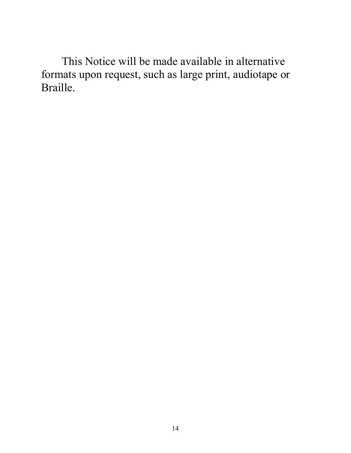This Notice will be made available in alternative formats upon request, such as large print, audiotape or Braille.